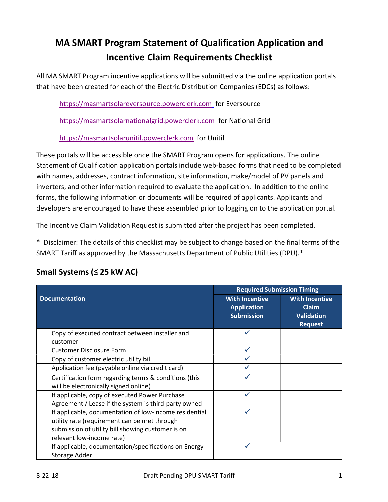# MA SMART Program Statement of Qualification Application and Incentive Claim Requirements Checklist

All MA SMART Program incentive applications will be submitted via the online application portals that have been created for each of the Electric Distribution Companies (EDCs) as follows:

https://masmartsolareversource.powerclerk.com for Eversource

https://masmartsolarnationalgrid.powerclerk.com for National Grid

https://masmartsolarunitil.powerclerk.com for Unitil

These portals will be accessible once the SMART Program opens for applications. The online Statement of Qualification application portals include web-based forms that need to be completed with names, addresses, contract information, site information, make/model of PV panels and inverters, and other information required to evaluate the application. In addition to the online forms, the following information or documents will be required of applicants. Applicants and developers are encouraged to have these assembled prior to logging on to the application portal.

The Incentive Claim Validation Request is submitted after the project has been completed.

\* Disclaimer: The details of this checklist may be subject to change based on the final terms of the SMART Tariff as approved by the Massachusetts Department of Public Utilities (DPU).\*

|                                                        | <b>Required Submission Timing</b> |                       |
|--------------------------------------------------------|-----------------------------------|-----------------------|
| <b>Documentation</b>                                   | <b>With Incentive</b>             | <b>With Incentive</b> |
|                                                        | <b>Application</b>                | <b>Claim</b>          |
|                                                        | <b>Submission</b>                 | <b>Validation</b>     |
|                                                        |                                   | <b>Request</b>        |
| Copy of executed contract between installer and        |                                   |                       |
| customer                                               |                                   |                       |
| <b>Customer Disclosure Form</b>                        |                                   |                       |
| Copy of customer electric utility bill                 |                                   |                       |
| Application fee (payable online via credit card)       |                                   |                       |
| Certification form regarding terms & conditions (this  |                                   |                       |
| will be electronically signed online)                  |                                   |                       |
| If applicable, copy of executed Power Purchase         |                                   |                       |
| Agreement / Lease if the system is third-party owned   |                                   |                       |
| If applicable, documentation of low-income residential |                                   |                       |
| utility rate (requirement can be met through           |                                   |                       |
| submission of utility bill showing customer is on      |                                   |                       |
| relevant low-income rate)                              |                                   |                       |
| If applicable, documentation/specifications on Energy  |                                   |                       |
| Storage Adder                                          |                                   |                       |

### Small Systems (≤ 25 kW AC)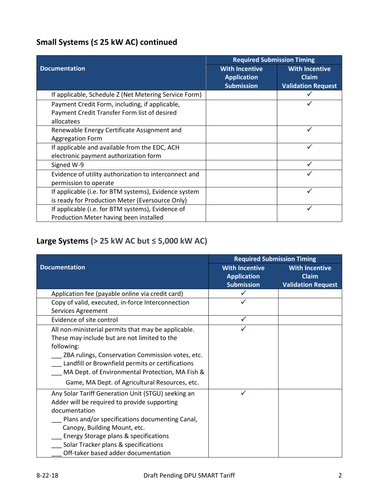## Small Systems (≤ 25 kW AC) continued

|                                                       | <b>Required Submission Timing</b> |                           |
|-------------------------------------------------------|-----------------------------------|---------------------------|
| <b>Documentation</b>                                  | <b>With Incentive</b>             | <b>With Incentive</b>     |
|                                                       | <b>Application</b>                | <b>Claim</b>              |
|                                                       | <b>Submission</b>                 | <b>Validation Request</b> |
| If applicable, Schedule Z (Net Metering Service Form) |                                   |                           |
| Payment Credit Form, including, if applicable,        |                                   |                           |
| Payment Credit Transfer Form list of desired          |                                   |                           |
| allocatees                                            |                                   |                           |
| Renewable Energy Certificate Assignment and           |                                   |                           |
| <b>Aggregation Form</b>                               |                                   |                           |
| If applicable and available from the EDC, ACH         |                                   |                           |
| electronic payment authorization form                 |                                   |                           |
| Signed W-9                                            |                                   |                           |
| Evidence of utility authorization to interconnect and |                                   |                           |
| permission to operate                                 |                                   |                           |
| If applicable (i.e. for BTM systems), Evidence system |                                   |                           |
| is ready for Production Meter (Eversource Only)       |                                   |                           |
| If applicable (i.e. for BTM systems), Evidence of     |                                   |                           |
| Production Meter having been installed                |                                   |                           |

## Large Systems ( $> 25$  kW AC but  $\leq 5,000$  kW AC)

|                                                     | <b>Required Submission Timing</b> |                           |
|-----------------------------------------------------|-----------------------------------|---------------------------|
| <b>Documentation</b>                                | <b>With Incentive</b>             | <b>With Incentive</b>     |
|                                                     | <b>Application</b>                | <b>Claim</b>              |
|                                                     | <b>Submission</b>                 | <b>Validation Request</b> |
| Application fee (payable online via credit card)    |                                   |                           |
| Copy of valid, executed, in-force Interconnection   |                                   |                           |
| Services Agreement                                  |                                   |                           |
| Evidence of site control                            |                                   |                           |
| All non-ministerial permits that may be applicable. |                                   |                           |
| These may include but are not limited to the        |                                   |                           |
| following:                                          |                                   |                           |
| ZBA rulings, Conservation Commission votes, etc.    |                                   |                           |
| Landfill or Brownfield permits or certifications    |                                   |                           |
| MA Dept. of Environmental Protection, MA Fish &     |                                   |                           |
| Game, MA Dept. of Agricultural Resources, etc.      |                                   |                           |
| Any Solar Tariff Generation Unit (STGU) seeking an  |                                   |                           |
| Adder will be required to provide supporting        |                                   |                           |
| documentation                                       |                                   |                           |
| Plans and/or specifications documenting Canal,      |                                   |                           |
| Canopy, Building Mount, etc.                        |                                   |                           |
| Energy Storage plans & specifications               |                                   |                           |
| Solar Tracker plans & specifications                |                                   |                           |
| Off-taker based adder documentation                 |                                   |                           |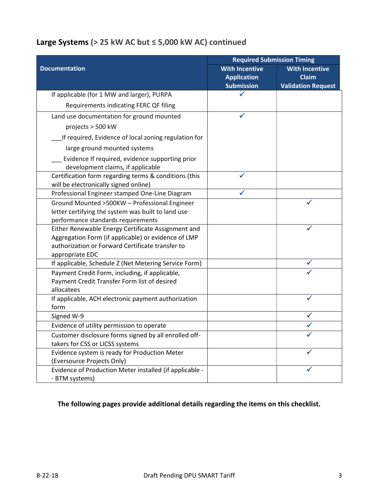#### Large Systems (> 25 kW AC but ≤ 5,000 kW AC) continued

|                                                                                                                                           | <b>Required Submission Timing</b>                                |                                                                    |
|-------------------------------------------------------------------------------------------------------------------------------------------|------------------------------------------------------------------|--------------------------------------------------------------------|
| <b>Documentation</b>                                                                                                                      | <b>With Incentive</b><br><b>Application</b><br><b>Submission</b> | <b>With Incentive</b><br><b>Claim</b><br><b>Validation Request</b> |
| If applicable (for 1 MW and larger), PURPA                                                                                                |                                                                  |                                                                    |
| Requirements indicating FERC QF filing                                                                                                    |                                                                  |                                                                    |
| Land use documentation for ground mounted                                                                                                 |                                                                  |                                                                    |
| projects > 500 kW                                                                                                                         |                                                                  |                                                                    |
| If required, Evidence of local zoning regulation for                                                                                      |                                                                  |                                                                    |
| large ground mounted systems                                                                                                              |                                                                  |                                                                    |
| Evidence If required, evidence supporting prior<br>development claims, if applicable                                                      |                                                                  |                                                                    |
| Certification form regarding terms & conditions (this<br>will be electronically signed online)                                            |                                                                  |                                                                    |
| Professional Engineer stamped One-Line Diagram                                                                                            |                                                                  |                                                                    |
| Ground Mounted >500KW - Professional Engineer<br>letter certifying the system was built to land use<br>performance standards requirements |                                                                  |                                                                    |
| Either Renewable Energy Certificate Assignment and                                                                                        |                                                                  |                                                                    |
| Aggregation Form (if applicable) or evidence of LMP<br>authorization or Forward Certificate transfer to<br>appropriate EDC                |                                                                  |                                                                    |
| If applicable, Schedule Z (Net Metering Service Form)                                                                                     |                                                                  |                                                                    |
| Payment Credit Form, including, if applicable,<br>Payment Credit Transfer Form list of desired<br>allocatees                              |                                                                  |                                                                    |
| If applicable, ACH electronic payment authorization<br>form                                                                               |                                                                  |                                                                    |
| Signed W-9                                                                                                                                |                                                                  |                                                                    |
| Evidence of utility permission to operate                                                                                                 |                                                                  |                                                                    |
| Customer disclosure forms signed by all enrolled off-<br>takers for CSS or LICSS systems                                                  |                                                                  |                                                                    |
| Evidence system is ready for Production Meter<br>(Eversource Projects Only)                                                               |                                                                  |                                                                    |
| Evidence of Production Meter installed (if applicable -<br>- BTM systems)                                                                 |                                                                  |                                                                    |

#### The following pages provide additional details regarding the items on this checklist.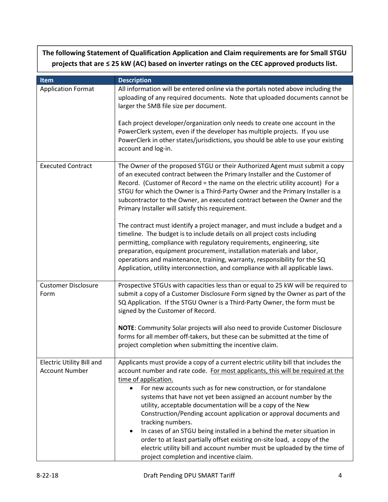| The following Statement of Qualification Application and Claim requirements are for Small STGU   |
|--------------------------------------------------------------------------------------------------|
| projects that are $\leq$ 25 kW (AC) based on inverter ratings on the CEC approved products list. |

| Item                                                      | <b>Description</b>                                                                                                                                                                                                                                                                                                                                                                                                                                                                                                                                                                                                                                                                                                                                                                                     |
|-----------------------------------------------------------|--------------------------------------------------------------------------------------------------------------------------------------------------------------------------------------------------------------------------------------------------------------------------------------------------------------------------------------------------------------------------------------------------------------------------------------------------------------------------------------------------------------------------------------------------------------------------------------------------------------------------------------------------------------------------------------------------------------------------------------------------------------------------------------------------------|
| <b>Application Format</b>                                 | All information will be entered online via the portals noted above including the<br>uploading of any required documents. Note that uploaded documents cannot be<br>larger the 5MB file size per document.                                                                                                                                                                                                                                                                                                                                                                                                                                                                                                                                                                                              |
|                                                           | Each project developer/organization only needs to create one account in the<br>PowerClerk system, even if the developer has multiple projects. If you use<br>PowerClerk in other states/jurisdictions, you should be able to use your existing<br>account and log-in.                                                                                                                                                                                                                                                                                                                                                                                                                                                                                                                                  |
| <b>Executed Contract</b>                                  | The Owner of the proposed STGU or their Authorized Agent must submit a copy<br>of an executed contract between the Primary Installer and the Customer of<br>Record. (Customer of Record = the name on the electric utility account) For a<br>STGU for which the Owner is a Third-Party Owner and the Primary Installer is a<br>subcontractor to the Owner, an executed contract between the Owner and the<br>Primary Installer will satisfy this requirement.                                                                                                                                                                                                                                                                                                                                          |
|                                                           | The contract must identify a project manager, and must include a budget and a<br>timeline. The budget is to include details on all project costs including<br>permitting, compliance with regulatory requirements, engineering, site<br>preparation, equipment procurement, installation materials and labor,<br>operations and maintenance, training, warranty, responsibility for the SQ<br>Application, utility interconnection, and compliance with all applicable laws.                                                                                                                                                                                                                                                                                                                           |
| <b>Customer Disclosure</b><br>Form                        | Prospective STGUs with capacities less than or equal to 25 kW will be required to<br>submit a copy of a Customer Disclosure Form signed by the Owner as part of the<br>SQ Application. If the STGU Owner is a Third-Party Owner, the form must be<br>signed by the Customer of Record.                                                                                                                                                                                                                                                                                                                                                                                                                                                                                                                 |
|                                                           | NOTE: Community Solar projects will also need to provide Customer Disclosure<br>forms for all member off-takers, but these can be submitted at the time of<br>project completion when submitting the incentive claim.                                                                                                                                                                                                                                                                                                                                                                                                                                                                                                                                                                                  |
| <b>Electric Utility Bill and</b><br><b>Account Number</b> | Applicants must provide a copy of a current electric utility bill that includes the<br>account number and rate code. For most applicants, this will be required at the<br>time of application.<br>For new accounts such as for new construction, or for standalone<br>$\bullet$<br>systems that have not yet been assigned an account number by the<br>utility, acceptable documentation will be a copy of the New<br>Construction/Pending account application or approval documents and<br>tracking numbers.<br>In cases of an STGU being installed in a behind the meter situation in<br>$\bullet$<br>order to at least partially offset existing on-site load, a copy of the<br>electric utility bill and account number must be uploaded by the time of<br>project completion and incentive claim. |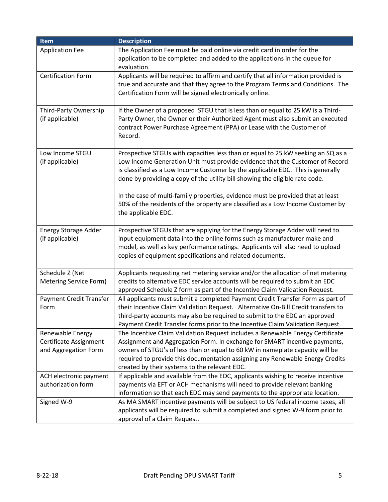| Item                                                               | <b>Description</b>                                                                                                                                                                                                                                                                                                                                                              |
|--------------------------------------------------------------------|---------------------------------------------------------------------------------------------------------------------------------------------------------------------------------------------------------------------------------------------------------------------------------------------------------------------------------------------------------------------------------|
| <b>Application Fee</b>                                             | The Application Fee must be paid online via credit card in order for the                                                                                                                                                                                                                                                                                                        |
|                                                                    | application to be completed and added to the applications in the queue for<br>evaluation.                                                                                                                                                                                                                                                                                       |
| <b>Certification Form</b>                                          | Applicants will be required to affirm and certify that all information provided is<br>true and accurate and that they agree to the Program Terms and Conditions. The<br>Certification Form will be signed electronically online.                                                                                                                                                |
| Third-Party Ownership<br>(if applicable)                           | If the Owner of a proposed STGU that is less than or equal to 25 kW is a Third-<br>Party Owner, the Owner or their Authorized Agent must also submit an executed<br>contract Power Purchase Agreement (PPA) or Lease with the Customer of<br>Record.                                                                                                                            |
| Low Income STGU<br>(if applicable)                                 | Prospective STGUs with capacities less than or equal to 25 kW seeking an SQ as a<br>Low Income Generation Unit must provide evidence that the Customer of Record<br>is classified as a Low Income Customer by the applicable EDC. This is generally<br>done by providing a copy of the utility bill showing the eligible rate code.                                             |
|                                                                    | In the case of multi-family properties, evidence must be provided that at least<br>50% of the residents of the property are classified as a Low Income Customer by<br>the applicable EDC.                                                                                                                                                                                       |
| <b>Energy Storage Adder</b><br>(if applicable)                     | Prospective STGUs that are applying for the Energy Storage Adder will need to<br>input equipment data into the online forms such as manufacturer make and<br>model, as well as key performance ratings. Applicants will also need to upload<br>copies of equipment specifications and related documents.                                                                        |
| Schedule Z (Net<br>Metering Service Form)                          | Applicants requesting net metering service and/or the allocation of net metering<br>credits to alternative EDC service accounts will be required to submit an EDC<br>approved Schedule Z form as part of the Incentive Claim Validation Request.                                                                                                                                |
| Payment Credit Transfer<br>Form                                    | All applicants must submit a completed Payment Credit Transfer Form as part of<br>their Incentive Claim Validation Request. Alternative On-Bill Credit transfers to<br>third-party accounts may also be required to submit to the EDC an approved<br>Payment Credit Transfer forms prior to the Incentive Claim Validation Request.                                             |
| Renewable Energy<br>Certificate Assignment<br>and Aggregation Form | The Incentive Claim Validation Request includes a Renewable Energy Certificate<br>Assignment and Aggregation Form. In exchange for SMART incentive payments,<br>owners of STGU's of less than or equal to 60 kW in nameplate capacity will be<br>required to provide this documentation assigning any Renewable Energy Credits<br>created by their systems to the relevant EDC. |
| ACH electronic payment<br>authorization form                       | If applicable and available from the EDC, applicants wishing to receive incentive<br>payments via EFT or ACH mechanisms will need to provide relevant banking                                                                                                                                                                                                                   |
| Signed W-9                                                         | information so that each EDC may send payments to the appropriate location.<br>As MA SMART incentive payments will be subject to US federal income taxes, all<br>applicants will be required to submit a completed and signed W-9 form prior to<br>approval of a Claim Request.                                                                                                 |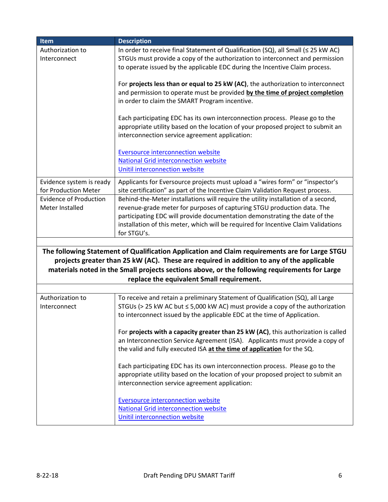| Item                                             | <b>Description</b>                                                                                                                                              |
|--------------------------------------------------|-----------------------------------------------------------------------------------------------------------------------------------------------------------------|
| Authorization to                                 | In order to receive final Statement of Qualification (SQ), all Small ( $\leq$ 25 kW AC)                                                                         |
| Interconnect                                     | STGUs must provide a copy of the authorization to interconnect and permission                                                                                   |
|                                                  | to operate issued by the applicable EDC during the Incentive Claim process.                                                                                     |
|                                                  |                                                                                                                                                                 |
|                                                  | For projects less than or equal to 25 kW (AC), the authorization to interconnect                                                                                |
|                                                  | and permission to operate must be provided by the time of project completion                                                                                    |
|                                                  | in order to claim the SMART Program incentive.                                                                                                                  |
|                                                  |                                                                                                                                                                 |
|                                                  | Each participating EDC has its own interconnection process. Please go to the<br>appropriate utility based on the location of your proposed project to submit an |
|                                                  | interconnection service agreement application:                                                                                                                  |
|                                                  |                                                                                                                                                                 |
|                                                  | <b>Eversource interconnection website</b>                                                                                                                       |
|                                                  | <b>National Grid interconnection website</b>                                                                                                                    |
|                                                  | Unitil interconnection website                                                                                                                                  |
|                                                  | Applicants for Eversource projects must upload a "wires form" or "inspector's                                                                                   |
| Evidence system is ready<br>for Production Meter | site certification" as part of the Incentive Claim Validation Request process.                                                                                  |
| <b>Evidence of Production</b>                    | Behind-the-Meter installations will require the utility installation of a second,                                                                               |
| Meter Installed                                  | revenue-grade meter for purposes of capturing STGU production data. The                                                                                         |
|                                                  | participating EDC will provide documentation demonstrating the date of the                                                                                      |
|                                                  | installation of this meter, which will be required for Incentive Claim Validations                                                                              |
|                                                  | for STGU's.                                                                                                                                                     |
|                                                  |                                                                                                                                                                 |
|                                                  | The following Statement of Qualification Application and Claim requirements are for Large STGU                                                                  |
|                                                  | projects greater than 25 kW (AC). These are required in addition to any of the applicable                                                                       |
|                                                  | materials noted in the Small projects sections above, or the following requirements for Large                                                                   |
|                                                  | replace the equivalent Small requirement.                                                                                                                       |
|                                                  |                                                                                                                                                                 |
| Authorization to                                 | To receive and retain a preliminary Statement of Qualification (SQ), all Large                                                                                  |
| Interconnect                                     | STGUs (> 25 kW AC but ≤ 5,000 kW AC) must provide a copy of the authorization                                                                                   |
|                                                  | to interconnect issued by the applicable EDC at the time of Application.                                                                                        |
|                                                  |                                                                                                                                                                 |
|                                                  | For projects with a capacity greater than 25 kW (AC), this authorization is called                                                                              |
|                                                  | an Interconnection Service Agreement (ISA). Applicants must provide a copy of                                                                                   |
|                                                  | the valid and fully executed ISA at the time of application for the SQ.                                                                                         |
|                                                  |                                                                                                                                                                 |
|                                                  | Each participating EDC has its own interconnection process. Please go to the<br>appropriate utility based on the location of your proposed project to submit an |
|                                                  | interconnection service agreement application:                                                                                                                  |
|                                                  |                                                                                                                                                                 |
|                                                  | <b>Eversource interconnection website</b>                                                                                                                       |
|                                                  | <b>National Grid interconnection website</b>                                                                                                                    |
|                                                  | Unitil interconnection website                                                                                                                                  |
|                                                  |                                                                                                                                                                 |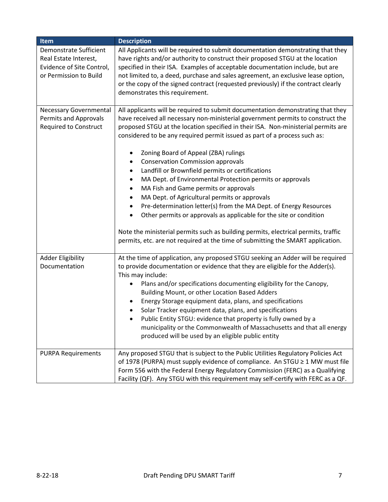| Item                                                                                                          | <b>Description</b>                                                                                                                                                                                                                                                                                                                                                                                                                                                                                                                                                                                                                                                                                                                                                                                                                                                                                                                                                                                                              |
|---------------------------------------------------------------------------------------------------------------|---------------------------------------------------------------------------------------------------------------------------------------------------------------------------------------------------------------------------------------------------------------------------------------------------------------------------------------------------------------------------------------------------------------------------------------------------------------------------------------------------------------------------------------------------------------------------------------------------------------------------------------------------------------------------------------------------------------------------------------------------------------------------------------------------------------------------------------------------------------------------------------------------------------------------------------------------------------------------------------------------------------------------------|
| <b>Demonstrate Sufficient</b><br>Real Estate Interest,<br>Evidence of Site Control,<br>or Permission to Build | All Applicants will be required to submit documentation demonstrating that they<br>have rights and/or authority to construct their proposed STGU at the location<br>specified in their ISA. Examples of acceptable documentation include, but are<br>not limited to, a deed, purchase and sales agreement, an exclusive lease option,<br>or the copy of the signed contract (requested previously) if the contract clearly<br>demonstrates this requirement.                                                                                                                                                                                                                                                                                                                                                                                                                                                                                                                                                                    |
| <b>Necessary Governmental</b><br><b>Permits and Approvals</b><br><b>Required to Construct</b>                 | All applicants will be required to submit documentation demonstrating that they<br>have received all necessary non-ministerial government permits to construct the<br>proposed STGU at the location specified in their ISA. Non-ministerial permits are<br>considered to be any required permit issued as part of a process such as:<br>Zoning Board of Appeal (ZBA) rulings<br>٠<br><b>Conservation Commission approvals</b><br>٠<br>Landfill or Brownfield permits or certifications<br>$\bullet$<br>MA Dept. of Environmental Protection permits or approvals<br>$\bullet$<br>MA Fish and Game permits or approvals<br>٠<br>MA Dept. of Agricultural permits or approvals<br>٠<br>Pre-determination letter(s) from the MA Dept. of Energy Resources<br>$\bullet$<br>Other permits or approvals as applicable for the site or condition<br>$\bullet$<br>Note the ministerial permits such as building permits, electrical permits, traffic<br>permits, etc. are not required at the time of submitting the SMART application. |
| <b>Adder Eligibility</b><br>Documentation                                                                     | At the time of application, any proposed STGU seeking an Adder will be required<br>to provide documentation or evidence that they are eligible for the Adder(s).<br>This may include:<br>Plans and/or specifications documenting eligibility for the Canopy,<br>Building Mount, or other Location Based Adders<br>Energy Storage equipment data, plans, and specifications<br>Solar Tracker equipment data, plans, and specifications<br>$\bullet$<br>Public Entity STGU: evidence that property is fully owned by a<br>municipality or the Commonwealth of Massachusetts and that all energy<br>produced will be used by an eligible public entity                                                                                                                                                                                                                                                                                                                                                                             |
| <b>PURPA Requirements</b>                                                                                     | Any proposed STGU that is subject to the Public Utilities Regulatory Policies Act<br>of 1978 (PURPA) must supply evidence of compliance. An STGU ≥ 1 MW must file<br>Form 556 with the Federal Energy Regulatory Commission (FERC) as a Qualifying<br>Facility (QF). Any STGU with this requirement may self-certify with FERC as a QF.                                                                                                                                                                                                                                                                                                                                                                                                                                                                                                                                                                                                                                                                                         |